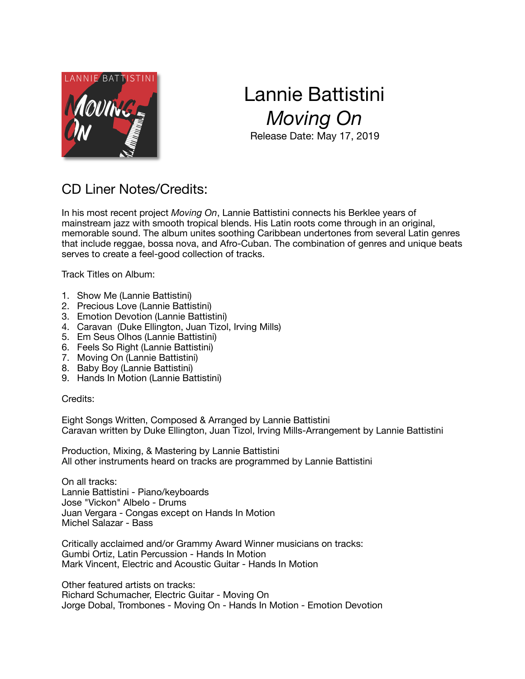

## Lannie Battistini *Moving On*  Release Date: May 17, 2019

## CD Liner Notes/Credits:

In his most recent project *Moving On*, Lannie Battistini connects his Berklee years of mainstream jazz with smooth tropical blends. His Latin roots come through in an original, memorable sound. The album unites soothing Caribbean undertones from several Latin genres that include reggae, bossa nova, and Afro-Cuban. The combination of genres and unique beats serves to create a feel-good collection of tracks.

Track Titles on Album:

- 1. Show Me (Lannie Battistini)
- 2. Precious Love (Lannie Battistini)
- 3. Emotion Devotion (Lannie Battistini)
- 4. Caravan (Duke Ellington, Juan Tizol, Irving Mills)
- 5. Em Seus Olhos (Lannie Battistini)
- 6. Feels So Right (Lannie Battistini)
- 7. Moving On (Lannie Battistini)
- 8. Baby Boy (Lannie Battistini)
- 9. Hands In Motion (Lannie Battistini)

Credits:

Eight Songs Written, Composed & Arranged by Lannie Battistini Caravan written by Duke Ellington, Juan Tizol, Irving Mills-Arrangement by Lannie Battistini

Production, Mixing, & Mastering by Lannie Battistini All other instruments heard on tracks are programmed by Lannie Battistini

On all tracks: Lannie Battistini - Piano/keyboards Jose "Vickon" Albelo - Drums Juan Vergara - Congas except on Hands In Motion Michel Salazar - Bass

Critically acclaimed and/or Grammy Award Winner musicians on tracks: Gumbi Ortiz, Latin Percussion - Hands In Motion Mark Vincent, Electric and Acoustic Guitar - Hands In Motion

Other featured artists on tracks: Richard Schumacher, Electric Guitar - Moving On Jorge Dobal, Trombones - Moving On - Hands In Motion - Emotion Devotion